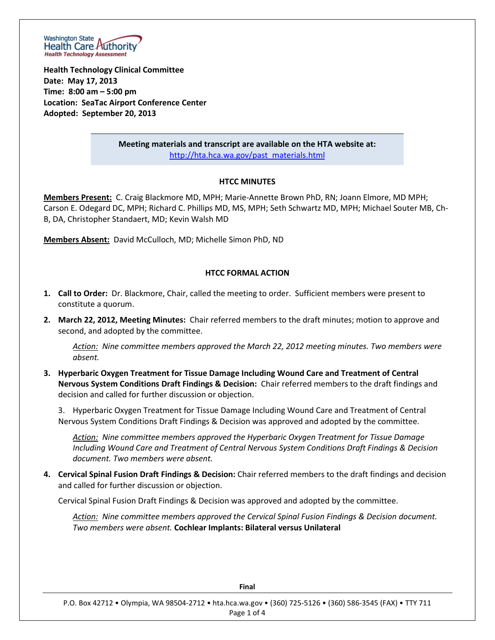

**Health Technology Clinical Committee Date: May 17, 2013 Time: 8:00 am – 5:00 pm Location: SeaTac Airport Conference Center Adopted: September 20, 2013**

> **Meeting materials and transcript are available on the HTA website at:** [http://hta.hca.wa.gov/past\\_materials.html](http://hta.hca.wa.gov/past_materials.html)

#### **HTCC MINUTES**

**Members Present:** C. Craig Blackmore MD, MPH; Marie-Annette Brown PhD, RN; Joann Elmore, MD MPH; Carson E. Odegard DC, MPH; Richard C. Phillips MD, MS, MPH; Seth Schwartz MD, MPH; Michael Souter MB, Ch-B, DA, Christopher Standaert, MD; Kevin Walsh MD

**Members Absent:** David McCulloch, MD; Michelle Simon PhD, ND

#### **HTCC FORMAL ACTION**

- **1. Call to Order:** Dr. Blackmore, Chair, called the meeting to order. Sufficient members were present to constitute a quorum.
- **2. March 22, 2012, Meeting Minutes:** Chair referred members to the draft minutes; motion to approve and second, and adopted by the committee.

*Action: Nine committee members approved the March 22, 2012 meeting minutes. Two members were absent.*

**3. Hyperbaric Oxygen Treatment for Tissue Damage Including Wound Care and Treatment of Central Nervous System Conditions Draft Findings & Decision:** Chair referred members to the draft findings and decision and called for further discussion or objection.

3. Hyperbaric Oxygen Treatment for Tissue Damage Including Wound Care and Treatment of Central Nervous System Conditions Draft Findings & Decision was approved and adopted by the committee.

*Action: Nine committee members approved the Hyperbaric Oxygen Treatment for Tissue Damage Including Wound Care and Treatment of Central Nervous System Conditions Draft Findings & Decision document. Two members were absent.*

**4. Cervical Spinal Fusion Draft Findings & Decision:** Chair referred members to the draft findings and decision and called for further discussion or objection.

Cervical Spinal Fusion Draft Findings & Decision was approved and adopted by the committee.

*Action: Nine committee members approved the Cervical Spinal Fusion Findings & Decision document. Two members were absent.* **Cochlear Implants: Bilateral versus Unilateral**

**Final**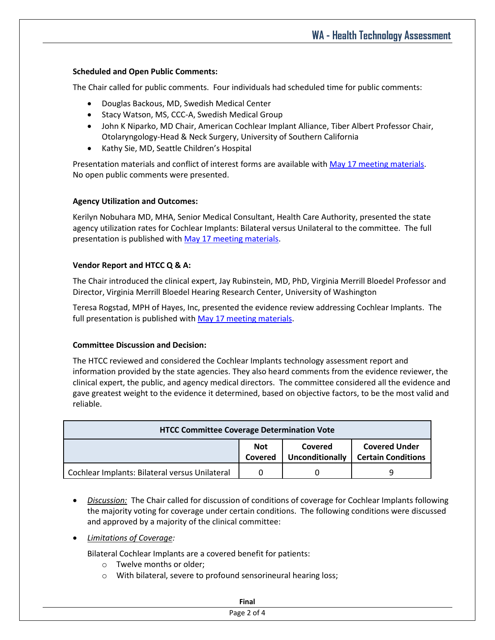# **Scheduled and Open Public Comments:**

The Chair called for public comments. Four individuals had scheduled time for public comments:

- Douglas Backous, MD, Swedish Medical Center
- Stacy Watson, MS, CCC-A, Swedish Medical Group
- John K Niparko, MD Chair, American Cochlear Implant Alliance, Tiber Albert Professor Chair, Otolaryngology-Head & Neck Surgery, University of Southern California
- Kathy Sie, MD, Seattle Children's Hospital

Presentation materials and conflict of interest forms are available with May 17 [meeting materials.](http://www.hta.hca.wa.gov/past_materials.html) No open public comments were presented.

### **Agency Utilization and Outcomes:**

Kerilyn Nobuhara MD, MHA, Senior Medical Consultant, Health Care Authority, presented the state agency utilization rates for Cochlear Implants: Bilateral versus Unilateral to the committee. The full presentation is published wit[h May 17 meeting materials.](http://www.hta.hca.wa.gov/past_materials.html)

# **Vendor Report and HTCC Q & A:**

The Chair introduced the clinical expert, Jay Rubinstein, MD, PhD, Virginia Merrill Bloedel Professor and Director, Virginia Merrill Bloedel Hearing Research Center, University of Washington

Teresa Rogstad, MPH of Hayes, Inc, presented the evidence review addressing Cochlear Implants. The full presentation is published wit[h May 17 meeting materials.](http://www.hta.hca.wa.gov/past_materials.html)

### **Committee Discussion and Decision:**

The HTCC reviewed and considered the Cochlear Implants technology assessment report and information provided by the state agencies. They also heard comments from the evidence reviewer, the clinical expert, the public, and agency medical directors. The committee considered all the evidence and gave greatest weight to the evidence it determined, based on objective factors, to be the most valid and reliable.

| <b>HTCC Committee Coverage Determination Vote</b> |                       |                                   |                                                   |  |
|---------------------------------------------------|-----------------------|-----------------------------------|---------------------------------------------------|--|
|                                                   | <b>Not</b><br>Covered | Covered<br><b>Unconditionally</b> | <b>Covered Under</b><br><b>Certain Conditions</b> |  |
| Cochlear Implants: Bilateral versus Unilateral    | 0                     |                                   | a                                                 |  |

 *Discussion:* The Chair called for discussion of conditions of coverage for Cochlear Implants following the majority voting for coverage under certain conditions. The following conditions were discussed and approved by a majority of the clinical committee:

*Limitations of Coverage:*

Bilateral Cochlear Implants are a covered benefit for patients:

- o Twelve months or older;
- o With bilateral, severe to profound sensorineural hearing loss;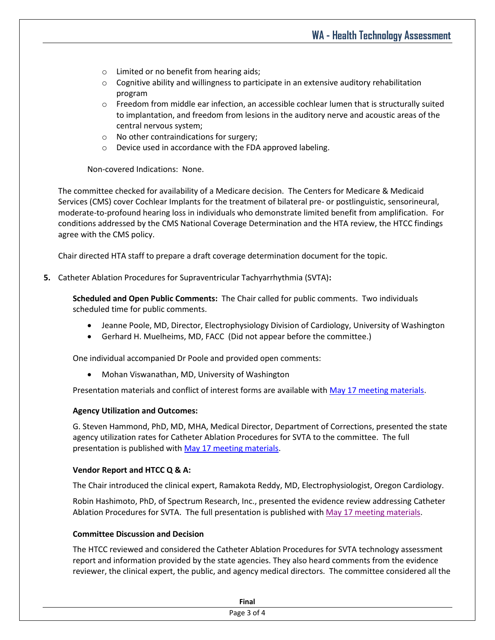- o Limited or no benefit from hearing aids;
- $\circ$  Cognitive ability and willingness to participate in an extensive auditory rehabilitation program
- $\circ$  Freedom from middle ear infection, an accessible cochlear lumen that is structurally suited to implantation, and freedom from lesions in the auditory nerve and acoustic areas of the central nervous system;
- o No other contraindications for surgery;
- o Device used in accordance with the FDA approved labeling.

Non-covered Indications: None.

The committee checked for availability of a Medicare decision. The Centers for Medicare & Medicaid Services (CMS) cover Cochlear Implants for the treatment of bilateral pre- or postlinguistic, sensorineural, moderate-to-profound hearing loss in individuals who demonstrate limited benefit from amplification. For conditions addressed by the CMS National Coverage Determination and the HTA review, the HTCC findings agree with the CMS policy.

Chair directed HTA staff to prepare a draft coverage determination document for the topic.

# **5.** Catheter Ablation Procedures for Supraventricular Tachyarrhythmia (SVTA)**:**

**Scheduled and Open Public Comments:** The Chair called for public comments. Two individuals scheduled time for public comments.

- Jeanne Poole, MD, Director, Electrophysiology Division of Cardiology, University of Washington
- Gerhard H. Muelheims, MD, FACC (Did not appear before the committee.)

One individual accompanied Dr Poole and provided open comments:

Mohan Viswanathan, MD, University of Washington

Presentation materials and conflict of interest forms are available with [May 17 meeting materials.](http://www.hta.hca.wa.gov/past_materials.html)

### **Agency Utilization and Outcomes:**

G. Steven Hammond, PhD, MD, MHA, Medical Director, Department of Corrections, presented the state agency utilization rates for Catheter Ablation Procedures for SVTA to the committee. The full presentation is published wit[h May 17 meeting materials.](http://www.hta.hca.wa.gov/past_materials.html)

### **Vendor Report and HTCC Q & A:**

The Chair introduced the clinical expert, Ramakota Reddy, MD, Electrophysiologist, Oregon Cardiology.

Robin Hashimoto, PhD, of Spectrum Research, Inc., presented the evidence review addressing Catheter Ablation Procedures for SVTA. The full presentation is published with [May 17 meeting materials.](http://www.hta.hca.wa.gov/past_materials.html)

### **Committee Discussion and Decision**

The HTCC reviewed and considered the Catheter Ablation Procedures for SVTA technology assessment report and information provided by the state agencies. They also heard comments from the evidence reviewer, the clinical expert, the public, and agency medical directors. The committee considered all the

| Final       |  |
|-------------|--|
| Page 3 of 4 |  |